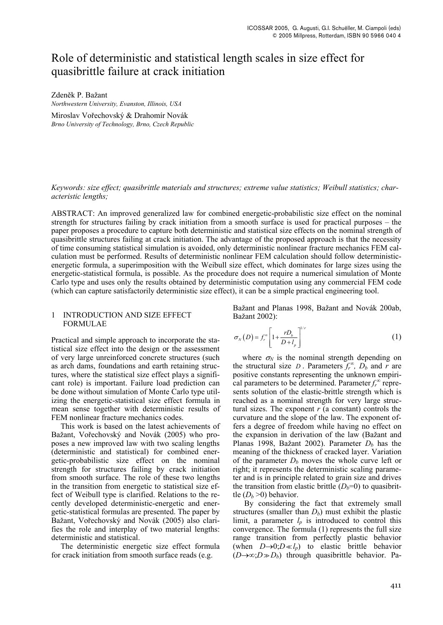# Role of deterministic and statistical length scales in size effect for quasibrittle failure at crack initiation

Zden�k P. Bažant *Northwestern University, Evanston, Illinois, USA* 

Miroslav Vo�echovský & Drahomír Novák *Brno University of Technology, Brno, Czech Republic* 

### *Keywords: size effect; quasibrittle materials and structures; extreme value statistics; Weibull statistics; characteristic lengths;*

ABSTRACT: An improved generalized law for combined energetic-probabilistic size effect on the nominal strength for structures failing by crack initiation from a smooth surface is used for practical purposes – the paper proposes a procedure to capture both deterministic and statistical size effects on the nominal strength of quasibrittle structures failing at crack initiation. The advantage of the proposed approach is that the necessity of time consuming statistical simulation is avoided, only deterministic nonlinear fracture mechanics FEM calculation must be performed. Results of deterministic nonlinear FEM calculation should follow deterministicenergetic formula, a superimposition with the Weibull size effect, which dominates for large sizes using the energetic-statistical formula, is possible. As the procedure does not require a numerical simulation of Monte Carlo type and uses only the results obtained by deterministic computation using any commercial FEM code (which can capture satisfactorily deterministic size effect), it can be a simple practical engineering tool.

#### 1 INTRODUCTION AND SIZE EFFECT FORMULAE

Practical and simple approach to incorporate the statistical size effect into the design or the assessment of very large unreinforced concrete structures (such as arch dams, foundations and earth retaining structures, where the statistical size effect plays a significant role) is important. Failure load prediction can be done without simulation of Monte Carlo type utilizing the energetic-statistical size effect formula in mean sense together with deterministic results of FEM nonlinear fracture mechanics codes.

This work is based on the latest achievements of Bažant, Vořechovský and Novák (2005) who proposes a new improved law with two scaling lengths (deterministic and statistical) for combined energetic-probabilistic size effect on the nominal strength for structures failing by crack initiation from smooth surface. The role of these two lengths in the transition from energetic to statistical size effect of Weibull type is clarified. Relations to the recently developed deterministic-energetic and energetic-statistical formulas are presented. The paper by Bažant, Vořechovský and Novák (2005) also clarifies the role and interplay of two material lengths: deterministic and statistical.

The deterministic energetic size effect formula for crack initiation from smooth surface reads (e.g.

Bažant and Planas 1998, Bažant and Novák 200ab, Bažant 2002):

$$
\sigma_N(D) = f_r^{\infty} \left[ 1 + \frac{rD_b}{D + l_p} \right]^{1/r} \tag{1}
$$

where  $\sigma$ <sup>*N*</sup> is the nominal strength depending on the structural size *D*. Parameters  $f_r^{\infty}$ ,  $D_b$  and *r* are positive constants representing the unknown empirical parameters to be determined. Parameter  $f_r^{\infty}$  represents solution of the elastic-brittle strength which is reached as a nominal strength for very large structural sizes. The exponent *r* (a constant) controls the curvature and the slope of the law. The exponent offers a degree of freedom while having no effect on the expansion in derivation of the law (Bažant and Planas 1998, Bažant 2002). Parameter  $D<sub>b</sub>$  has the meaning of the thickness of cracked layer. Variation of the parameter  $D<sub>b</sub>$  moves the whole curve left or right; it represents the deterministic scaling parameter and is in principle related to grain size and drives the transition from elastic brittle  $(D_b=0)$  to quasibrittle  $(D_b > 0)$  behavior.

 By considering the fact that extremely small structures (smaller than  $D_b$ ) must exhibit the plastic limit, a parameter  $l_p$  is introduced to control this convergence. The formula (1) represents the full size range transition from perfectly plastic behavior (when  $D\rightarrow 0; D \ll l_p$ ) to elastic brittle behavior  $(D\rightarrow \infty; D \gg D_b)$  through quasibrittle behavior. Pa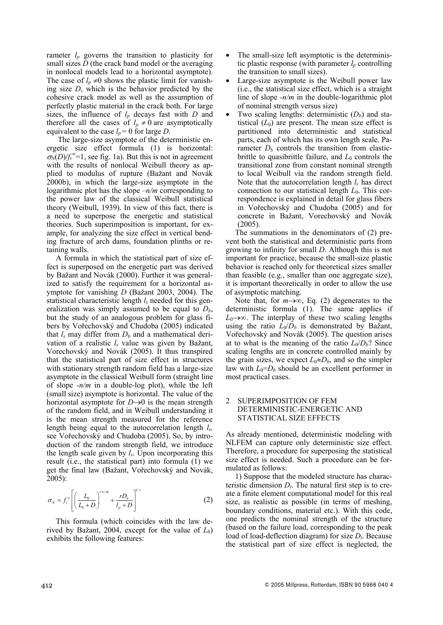rameter  $l_p$  governs the transition to plasticity for small sizes *D* (the crack band model or the averaging in nonlocal models lead to a horizontal asymptote). The case of  $l_p \neq 0$  shows the plastic limit for vanishing size *D*, which is the behavior predicted by the cohesive crack model as well as the assumption of perfectly plastic material in the crack both. For large sizes, the influence of *lp* decays fast with *D* and therefore all the cases of  $l_p \neq 0$  are asymptotically equivalent to the case  $l_p = 0$  for large *D*.

 The large-size asymptote of the deterministic energetic size effect formula (1) is horizontal:  $\sigma_N(D)/f_r^{\infty}=1$ , see fig. 1a). But this is not in agreement with the results of nonlocal Weibull theory as applied to modulus of rupture (Bažant and Novák 2000b), in which the large-size asymptote in the logarithmic plot has the slope *–n/m* corresponding to the power law of the classical Weibull statistical theory (Weibull, 1939). In view of this fact, there is a need to superpose the energetic and statistical theories. Such superimposition is important, for example, for analyzing the size effect in vertical bending fracture of arch dams, foundation plinths or retaining walls.

A formula in which the statistical part of size effect is superposed on the energetic part was derived by Bažant and Novák (2000). Further it was generalized to satisfy the requirement for a horizontal asymptote for vanishing *D* (Bažant 2003, 2004). The statistical characteristic length *l<sub>s</sub>* needed for this generalization was simply assumed to be equal to  $D<sub>b</sub>$ , but the study of an analogous problem for glass fibers by Vořechovský and Chudoba (2005) indicated that  $l_s$  may differ from  $D_b$  and a mathematical derivation of a realistic *ls* value was given by Bažant, Vorechovský and Novák (2005). It thus transpired that the statistical part of size effect in structures with stationary strength random field has a large-size asymptote in the classical Weibull form (straight line of slope *-n/m* in a double-log plot), while the left (small size) asymptote is horizontal. The value of the horizontal asymptote for  $D\rightarrow 0$  is the mean strength of the random field, and in Weibull understanding it is the mean strength measured for the reference length being equal to the autocorrelation length *ls,* see Vořechovský and Chudoba (2005). So, by introduction of the random strength field, we introduce the length scale given by *ls*. Upon incorporating this result (i.e., the statistical part) into formula (1) we get the final law (Bažant, Vořechovský and Novák, 2005):

$$
\sigma_N = f_r^{\infty} \left[ \left( \frac{L_0}{L_0 + D} \right)^{r \sin \pi} + \frac{r D_b}{l_p + D} \right]^{1/r}
$$
 (2)

This formula (which coincides with the law derived by Bažant, 2004, except for the value of  $L_0$ ) exhibits the following features:

- The small-size left asymptotic is the deterministic plastic response (with parameter  $l_p$  controlling the transition to small sizes).
- Large-size asymptote is the Weibull power law (i.e., the statistical size effect, which is a straight line of slope *-n/m* in the double-logarithmic plot of nominal strength versus size)
- Two scaling lengths: deterministic  $(D<sub>b</sub>)$  and statistical  $(L_0)$  are present. The mean size effect is partitioned into deterministic and statistical parts, each of which has its own length scale. Parameter  $D<sub>b</sub>$  controls the transition from elasticbrittle to quasibrittle failure, and  $L_0$  controls the transitional zone from constant nominal strength to local Weibull via the random strength field. Note that the autocorrelation length  $l_s$  has direct connection to our statistical length *L*0. This correspondence is explained in detail for glass fibers in Vořechovský and Chudoba (2005) and for concrete in Bažant, Vorechovský and Novák (2005).

The summations in the denominators of (2) prevent both the statistical and deterministic parts from growing to infinity for small *D*. Although this is not important for practice, because the small-size plastic behavior is reached only for theoretical sizes smaller than feasible (e.g., smaller than one aggregate size), it is important theoretically in order to allow the use of asymptotic matching.

Note that, for  $m \rightarrow \infty$ , Eq. (2) degenerates to the deterministic formula (1). The same applies if  $L_0 \rightarrow \infty$ . The interplay of these two scaling lengths using the ratio  $L_0/D_b$  is demonstrated by Bažant, Vo�echovský and Novák (2005). The question arises at to what is the meaning of the ratio  $L_0/D_b$ ? Since scaling lengths are in concrete controlled mainly by the grain sizes, we expect  $L_0 \approx D_b$ , and so the simpler law with  $L_0=D_b$  should be an excellent performer in most practical cases.

#### 2 SUPERIMPOSITION OF FEM DETERMINISTIC-ENERGETIC AND STATISTICAL SIZE EFFECTS

As already mentioned, deterministic modeling with NLFEM can capture only deterministic size effect. Therefore, a procedure for superposing the statistical size effect is needed. Such a procedure can be formulated as follows:

1) Suppose that the modeled structure has characteristic dimension  $D_t$ . The natural first step is to create a finite element computational model for this real size, as realistic as possible (in terms of meshing, boundary conditions, material etc.). With this code, one predicts the nominal strength of the structure (based on the failure load, corresponding to the peak load of load-deflection diagram) for size  $D_t$ . Because the statistical part of size effect is neglected, the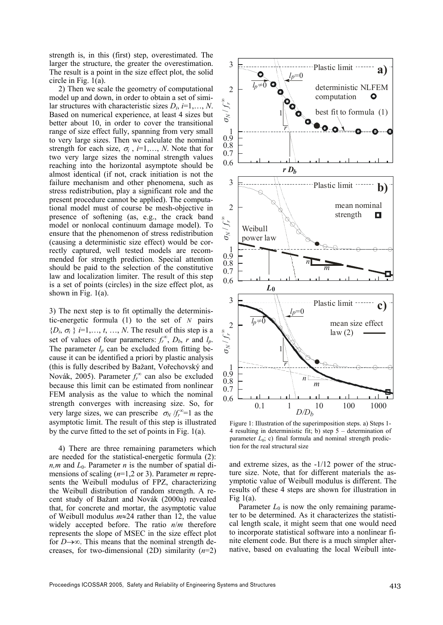strength is, in this (first) step, overestimated. The larger the structure, the greater the overestimation. The result is a point in the size effect plot, the solid circle in Fig. 1(a).

2) Then we scale the geometry of computational model up and down, in order to obtain a set of similar structures with characteristic sizes  $D_i$ ,  $i=1,\ldots,N$ . Based on numerical experience, at least 4 sizes but better about 10, in order to cover the transitional range of size effect fully, spanning from very small to very large sizes. Then we calculate the nominal strength for each size,  $\sigma_i$ ,  $i=1,\ldots,N$ . Note that for two very large sizes the nominal strength values reaching into the horizontal asymptote should be almost identical (if not, crack initiation is not the failure mechanism and other phenomena, such as stress redistribution, play a significant role and the present procedure cannot be applied). The computational model must of course be mesh-objective in presence of softening (as, e.g., the crack band model or nonlocal continuum damage model). To ensure that the phenomenon of stress redistribution (causing a deterministic size effect) would be correctly captured, well tested models are recommended for strength prediction. Special attention should be paid to the selection of the constitutive law and localization limiter. The result of this step is a set of points (circles) in the size effect plot, as shown in Fig. 1(a).

3) The next step is to fit optimally the deterministic-energetic formula (1) to the set of *N* pairs  ${D_i, \sigma_i}$  *i* =1,…, *t*, …, *N*. The result of this step is a set of values of four parameters:  $f_r^{\infty}$ ,  $D_b$ , *r* and  $l_p$ . The parameter  $l_p$  can be excluded from fitting because it can be identified a priori by plastic analysis (this is fully described by Bažant, Vořechovský and Novák, 2005). Parameter  $f_r^{\infty}$  can also be excluded because this limit can be estimated from nonlinear FEM analysis as the value to which the nominal strength converges with increasing size. So, for very large sizes, we can prescribe  $\sigma_N / f_r^{\infty} = 1$  as the asymptotic limit. The result of this step is illustrated by the curve fitted to the set of points in Fig. 1(a).

4) There are three remaining parameters which are needed for the statistical-energetic formula (2):  $n,m$  and  $L_0$ . Parameter *n* is the number of spatial dimensions of scaling (*n*=1,2 or 3). Parameter *m* represents the Weibull modulus of FPZ, characterizing the Weibull distribution of random strength. A recent study of Bažant and Novák (2000a) revealed that, for concrete and mortar, the asymptotic value of Weibull modulus  $m \approx 24$  rather than 12, the value widely accepted before. The ratio *n*/*m* therefore represents the slope of MSEC in the size effect plot for  $D\rightarrow\infty$ . This means that the nominal strength decreases, for two-dimensional (2D) similarity (*n*=2)



Figure 1: Illustration of the superimposition steps. a) Steps 1-4 resulting in deterministic fit; b) step 5 – determination of parameter  $L_0$ ; c) final formula and nominal strength prediction for the real structural size

and extreme sizes, as the -1/12 power of the structure size. Note, that for different materials the asymptotic value of Weibull modulus is different. The results of these 4 steps are shown for illustration in Fig  $1(a)$ .

Parameter  $L_0$  is now the only remaining parameter to be determined. As it characterizes the statistical length scale, it might seem that one would need to incorporate statistical software into a nonlinear finite element code. But there is a much simpler alternative, based on evaluating the local Weibull inte-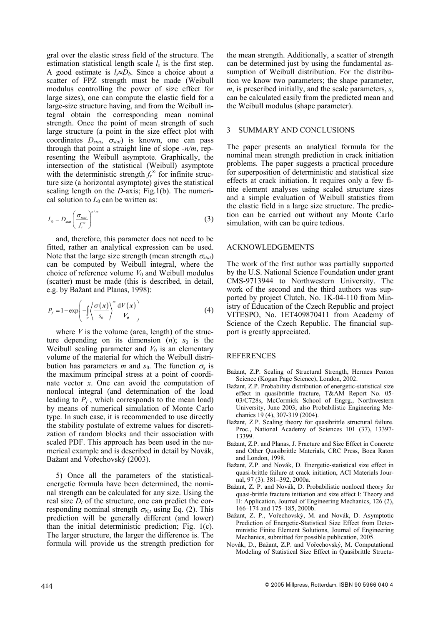gral over the elastic stress field of the structure. The estimation statistical length scale  $l_s$  is the first step. A good estimate is  $l_s \approx D_b$ . Since a choice about a scatter of FPZ strength must be made (Weibull modulus controlling the power of size effect for large sizes), one can compute the elastic field for a large-size structure having, and from the Weibull integral obtain the corresponding mean nominal strength. Once the point of mean strength of such large structure (a point in the size effect plot with coordinates  $D_{stat}$ ,  $\sigma_{stat}$ ) is known, one can pass through that point a straight line of slope -*n/m*, representing the Weibull asymptote. Graphically, the intersection of the statistical (Weibull) asymptote with the deterministic strength  $f_r^{\infty}$  for infinite structure size (a horizontal asymptote) gives the statistical scaling length on the *D*-axis; Fig.1(b). The numerical solution to  $L_0$  can be written as:

$$
L_0 = D_{\text{stat}} \left( \frac{\sigma_{\text{stat}}}{f_r^{\infty}} \right)^{n/m}
$$
 (3)

and, therefore, this parameter does not need to be fitted, rather an analytical expression can be used. Note that the large size strength (mean strength  $\sigma_{\text{stat}}$ ) can be computed by Weibull integral, where the choice of reference volume  $V_0$  and Weibull modulus (scatter) must be made (this is described, in detail, e.g. by Bažant and Planas, 1998):

$$
P_f = 1 - \exp\left(-\int_{V} \left\langle \frac{\sigma(x)}{s_0} \right\rangle^m \frac{dV(x)}{V_{\theta}} \right) \tag{4}
$$

where  $V$  is the volume (area, length) of the structure depending on its dimension  $(n)$ ;  $s_0$  is the Weibull scaling parameter and  $V_0$  is an elementary volume of the material for which the Weibull distribution has parameters *m* and  $s_0$ . The function  $\sigma_x$  is the maximum principal stress at a point of coordinate vector *x*. One can avoid the computation of nonlocal integral (and determination of the load leading to  $P_f$ , which corresponds to the mean load) by means of numerical simulation of Monte Carlo type. In such case, it is recommended to use directly the stability postulate of extreme values for discretization of random blocks and their association with scaled PDF. This approach has been used in the numerical example and is described in detail by Novák, Bažant and Vořechovský (2003).

5) Once all the parameters of the statisticalenergetic formula have been determined, the nominal strength can be calculated for any size. Using the real size  $D_t$  of the structure, one can predict the corresponding nominal strength  $\sigma_{N,t}$  using Eq. (2). This prediction will be generally different (and lower) than the initial deterministic prediction; Fig. 1(c). The larger structure, the larger the difference is. The formula will provide us the strength prediction for the mean strength. Additionally, a scatter of strength can be determined just by using the fundamental assumption of Weibull distribution. For the distribution we know two parameters; the shape parameter, *m*, is prescribed initially, and the scale parameters, *s*, can be calculated easily from the predicted mean and the Weibull modulus (shape parameter).

## 3 SUMMARY AND CONCLUSIONS

The paper presents an analytical formula for the nominal mean strength prediction in crack initiation problems. The paper suggests a practical procedure for superposition of deterministic and statistical size effects at crack initiation. It requires only a few finite element analyses using scaled structure sizes and a simple evaluation of Weibull statistics from the elastic field in a large size structure. The prediction can be carried out without any Monte Carlo simulation, with can be quire tedious.

#### ACKNOWLEDGEMENTS

The work of the first author was partially supported by the U.S. National Science Foundation under grant CMS-9713944 to Northwestern University. The work of the second and the third authors was supported by project Clutch, No. 1K-04-110 from Ministry of Education of the Czech Republic and project VITESPO, No. 1ET409870411 from Academy of Science of the Czech Republic. The financial support is greatly appreciated.

#### REFERENCES

- Bažant, Z.P. Scaling of Structural Strength, Hermes Penton Science (Kogan Page Science), London, 2002.
- Bažant, Z.P. Probability distribution of energetic-statistical size effect in quasibrittle fracture, T&AM Report No. 05- 03/C728s, McCormick School of Engrg., Northwestern University, June 2003; also Probabilistic Engineering Mechanics 19 (4), 307-319 (2004).
- Bažant, Z.P. Scaling theory for quasibrittle structural failure. Proc., National Academy of Sciences 101 (37), 13397- 13399.
- Bažant, Z.P. and Planas, J. Fracture and Size Effect in Concrete and Other Quasibrittle Materials, CRC Press, Boca Raton and London, 1998.
- Bažant, Z.P. and Novák, D. Energetic-statistical size effect in quasi-brittle failure at crack initiation, ACI Materials Journal, 97 (3): 381–392, 2000a.
- Bažant, Z. P. and Novák, D. Probabilistic nonlocal theory for quasi-brittle fracture initiation and size effect I: Theory and II: Application, Journal of Engineering Mechanics, 126 (2), 166–174 and 175–185, 2000b.
- Bažant, Z. P., Vo�echovský, M. and Novák, D. Asymptotic Prediction of Energetic-Statistical Size Effect from Deterministic Finite Element Solutions, Journal of Engineering Mechanics, submitted for possible publication, 2005.
- Novák, D., Bažant, Z.P. and Vo�echovský, M. Computational Modeling of Statistical Size Effect in Quasibrittle Structu-